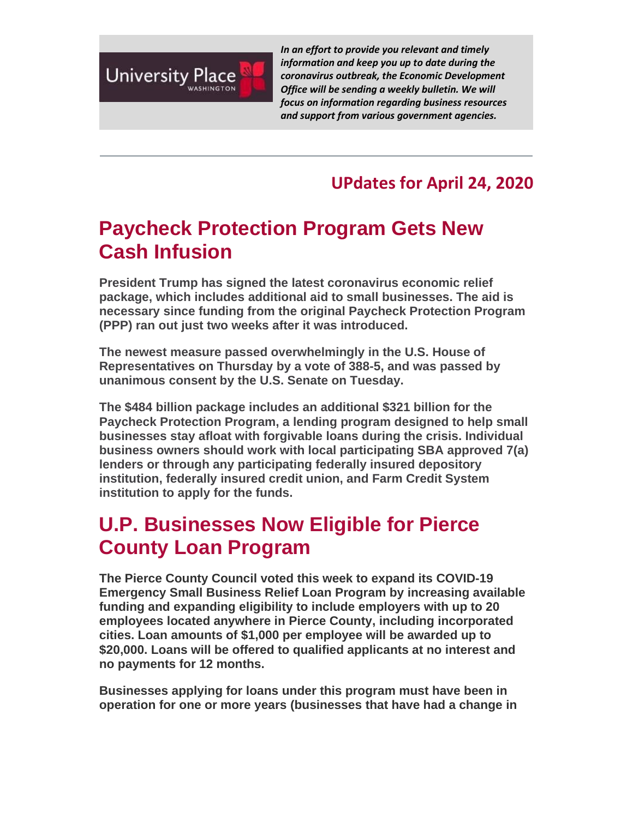

*In an effort to provide you relevant and timely information and keep you up to date during the coronavirus outbreak, the Economic Development Office will be sending a weekly bulletin. We will focus on information regarding business resources and support from various government agencies.*

#### **UPdates for April 24, 2020**

# **Paycheck Protection Program Gets New Cash Infusion**

**President Trump has signed the latest coronavirus economic relief package, which includes additional aid to small businesses. The aid is necessary since funding from the original Paycheck Protection Program (PPP) ran out just two weeks after it was introduced.**

**The newest measure passed overwhelmingly in the U.S. House of Representatives on Thursday by a vote of 388-5, and was passed by unanimous consent by the U.S. Senate on Tuesday.**

**The \$484 billion package includes an additional \$321 billion for the Paycheck Protection Program, a lending program designed to help small businesses stay afloat with forgivable loans during the crisis. Individual business owners should work with local participating SBA approved 7(a) lenders or through any participating federally insured depository institution, federally insured credit union, and Farm Credit System institution to apply for the funds.**

# **U.P. Businesses Now Eligible for Pierce County Loan Program**

**The Pierce County Council voted this week to expand its COVID-19 Emergency Small Business Relief Loan Program by increasing available funding and expanding eligibility to include employers with up to 20 employees located anywhere in Pierce County, including incorporated cities. Loan amounts of \$1,000 per employee will be awarded up to \$20,000. Loans will be offered to qualified applicants at no interest and no payments for 12 months.**

**Businesses applying for loans under this program must have been in operation for one or more years (businesses that have had a change in**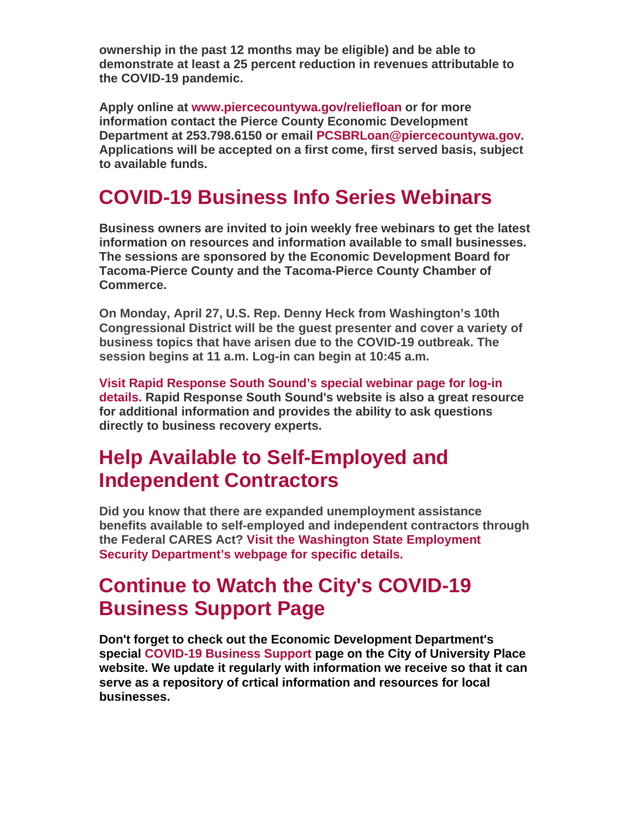**ownership in the past 12 months may be eligible) and be able to demonstrate at least a 25 percent reduction in revenues attributable to the COVID-19 pandemic.**

**Apply online at [www.piercecountywa.gov/reliefloan](https://nam12.safelinks.protection.outlook.com/?url=http%3A%2F%2Fr20.rs6.net%2Ftn.jsp%3Ff%3D001fdtDL7R3jwjUX785zvMt7790y5VHd6w_OVEpsh0xN7AE-h1cOReWbKMthLDyfvYDoNONCoccFRQeOop1pLzb-Qbug9p1hC90mhzIdoF0kFJY26_-S3kg9RSG7-tuurRcWNbz18ChYmbmLlsmPVzOALTMMcYWagso3QCEFGitRmbB8kHscrwFbGna037YFyLkaCE6STUazkgRA1EH9Ab6NgvrdSHPNlMDMa-e3gookEy-pIpq1_tkUfgKDCR-bqLaiVxwdqRRuYbx8sF99PqDDdPqyGa79XKZYJOk3fzaTUxln_4bpA9JqfylV6C1tnc9pQQW9QjyRUALlQliwlhaGy6daLb3eB9LczRPHtN9-uA7JU8hDsZbWqQKP93lNl79KoWhp-s5rbePgvKcUoaN1dvAWIzwLWhcoV0k5kBi52IGGQ-WPILn2338sFIpr_rCFHF4VZwXqBvoc_vpDAu-Y2MFugPMzzkmWIg4QRFVQYNDHCiFXoOdDeZFArYsG-Jz1dpsobYnadG_ZztD4vkuoHhsjuKPpXrH%26c%3Dhhkqa1GdgPEhxnq7Dxfod8PZZ_qyHM0U_ut_K5n5hEQzUz4S5m2Izg%3D%3D%26ch%3DKaoGfExql9XVP9UBixm-i2xEKlrgLPQ0EAyncQNw1KMia1dlOqrnNg%3D%3D&data=01%7C01%7Cbmetcalf%40cityofup.com%7C2c50260731ce4874277c08d7e89cf41f%7C964f2256ad7d4cd99f27e9cb8052aa15%7C0&sdata=MMZiALpVAwEmfvCmfkjLj%2B0uxUR2fn13DGqsAyayNNI%3D&reserved=0) or for more information contact the Pierce County Economic Development Department at 253.798.6150 or email [PCSBRLoan@piercecountywa.gov.](mailto:PCSBRLoan@piercecountywa.gov) Applications will be accepted on a first come, first served basis, subject to available funds.**

### **COVID-19 Business Info Series Webinars**

**Business owners are invited to join weekly free webinars to get the latest information on resources and information available to small businesses. The sessions are sponsored by the Economic Development Board for Tacoma-Pierce County and the Tacoma-Pierce County Chamber of Commerce.** 

**On Monday, April 27, U.S. Rep. Denny Heck from Washington's 10th Congressional District will be the guest presenter and cover a variety of business topics that have arisen due to the COVID-19 outbreak. The session begins at 11 a.m. Log-in can begin at 10:45 a.m.**

**[Visit Rapid Response South Sound's special webinar page for log-in](https://nam12.safelinks.protection.outlook.com/?url=http%3A%2F%2Fr20.rs6.net%2Ftn.jsp%3Ff%3D001fdtDL7R3jwjUX785zvMt7790y5VHd6w_OVEpsh0xN7AE-h1cOReWbKMthLDyfvYDXKrvq0DW9L6iyp3mlKzPxD9nIBW--VwYnlgEs1X0gVvGbLCc6JLW1sISi-_2B_sJ01Q27zunpruHlySuuu6dsA67dK2MJu97u3MUKQc3BbE%3D%26c%3Dhhkqa1GdgPEhxnq7Dxfod8PZZ_qyHM0U_ut_K5n5hEQzUz4S5m2Izg%3D%3D%26ch%3DKaoGfExql9XVP9UBixm-i2xEKlrgLPQ0EAyncQNw1KMia1dlOqrnNg%3D%3D&data=01%7C01%7Cbmetcalf%40cityofup.com%7C2c50260731ce4874277c08d7e89cf41f%7C964f2256ad7d4cd99f27e9cb8052aa15%7C0&sdata=%2B%2FXv28yHHfrVAZsruu8d8aHGEu87SXwOt4H1Ot6OWiE%3D&reserved=0)  [details. R](https://nam12.safelinks.protection.outlook.com/?url=http%3A%2F%2Fr20.rs6.net%2Ftn.jsp%3Ff%3D001fdtDL7R3jwjUX785zvMt7790y5VHd6w_OVEpsh0xN7AE-h1cOReWbKMthLDyfvYDXKrvq0DW9L6iyp3mlKzPxD9nIBW--VwYnlgEs1X0gVvGbLCc6JLW1sISi-_2B_sJ01Q27zunpruHlySuuu6dsA67dK2MJu97u3MUKQc3BbE%3D%26c%3Dhhkqa1GdgPEhxnq7Dxfod8PZZ_qyHM0U_ut_K5n5hEQzUz4S5m2Izg%3D%3D%26ch%3DKaoGfExql9XVP9UBixm-i2xEKlrgLPQ0EAyncQNw1KMia1dlOqrnNg%3D%3D&data=01%7C01%7Cbmetcalf%40cityofup.com%7C2c50260731ce4874277c08d7e89cf41f%7C964f2256ad7d4cd99f27e9cb8052aa15%7C0&sdata=%2B%2FXv28yHHfrVAZsruu8d8aHGEu87SXwOt4H1Ot6OWiE%3D&reserved=0)apid Response South Sound's website is also a great resource for additional information and provides the ability to ask questions directly to business recovery experts.**

## **Help Available to Self-Employed and Independent Contractors**

**Did you know that there are expanded unemployment assistance benefits available to self-employed and independent contractors through the Federal CARES Act? [Visit the Washington State Employment](https://nam12.safelinks.protection.outlook.com/?url=http%3A%2F%2Fr20.rs6.net%2Ftn.jsp%3Ff%3D001fdtDL7R3jwjUX785zvMt7790y5VHd6w_OVEpsh0xN7AE-h1cOReWbKMthLDyfvYD1zHsWxDiQUjZKQu0wsU9JKHvJ010WSGQ8MwshubQW35E_tv1yl6WFV_dVSSEZYS79gpBCX1CmOhv2WBumWHMQtg6ZMO11euzq2zAWgrYyQkPqt4JA-CQJA%3D%3D%26c%3Dhhkqa1GdgPEhxnq7Dxfod8PZZ_qyHM0U_ut_K5n5hEQzUz4S5m2Izg%3D%3D%26ch%3DKaoGfExql9XVP9UBixm-i2xEKlrgLPQ0EAyncQNw1KMia1dlOqrnNg%3D%3D&data=01%7C01%7Cbmetcalf%40cityofup.com%7C2c50260731ce4874277c08d7e89cf41f%7C964f2256ad7d4cd99f27e9cb8052aa15%7C0&sdata=UDjUuchW%2FaxSdScQTVkgcvAmFZ5U9R5ZxfEPaw6saVQ%3D&reserved=0)  [Security Department's webpage for specific details.](https://nam12.safelinks.protection.outlook.com/?url=http%3A%2F%2Fr20.rs6.net%2Ftn.jsp%3Ff%3D001fdtDL7R3jwjUX785zvMt7790y5VHd6w_OVEpsh0xN7AE-h1cOReWbKMthLDyfvYD1zHsWxDiQUjZKQu0wsU9JKHvJ010WSGQ8MwshubQW35E_tv1yl6WFV_dVSSEZYS79gpBCX1CmOhv2WBumWHMQtg6ZMO11euzq2zAWgrYyQkPqt4JA-CQJA%3D%3D%26c%3Dhhkqa1GdgPEhxnq7Dxfod8PZZ_qyHM0U_ut_K5n5hEQzUz4S5m2Izg%3D%3D%26ch%3DKaoGfExql9XVP9UBixm-i2xEKlrgLPQ0EAyncQNw1KMia1dlOqrnNg%3D%3D&data=01%7C01%7Cbmetcalf%40cityofup.com%7C2c50260731ce4874277c08d7e89cf41f%7C964f2256ad7d4cd99f27e9cb8052aa15%7C0&sdata=UDjUuchW%2FaxSdScQTVkgcvAmFZ5U9R5ZxfEPaw6saVQ%3D&reserved=0)**

## **Continue to Watch the City's COVID-19 Business Support Page**

**Don't forget to check out the Economic Development Department's special [COVID-19 Business Support](https://nam12.safelinks.protection.outlook.com/?url=http%3A%2F%2Fr20.rs6.net%2Ftn.jsp%3Ff%3D001fdtDL7R3jwjUX785zvMt7790y5VHd6w_OVEpsh0xN7AE-h1cOReWbM1vTa4gaSGD9cHG-M_esfmxwJAd64RBqJfj69zzBhK8FJWNDCQZk-bG9amO4ZNkJ16F5rOnGZt5zxlLFEsuOFo0khBW9BkZ7aZvf-wI6LUVHmbP68rOV5tq30ptr0-uzA%3D%3D%26c%3Dhhkqa1GdgPEhxnq7Dxfod8PZZ_qyHM0U_ut_K5n5hEQzUz4S5m2Izg%3D%3D%26ch%3DKaoGfExql9XVP9UBixm-i2xEKlrgLPQ0EAyncQNw1KMia1dlOqrnNg%3D%3D&data=01%7C01%7Cbmetcalf%40cityofup.com%7C2c50260731ce4874277c08d7e89cf41f%7C964f2256ad7d4cd99f27e9cb8052aa15%7C0&sdata=rbbYdC8%2FkBET7Ez0Mn30s2o2sOubCswum7PACW74yKA%3D&reserved=0) page on the City of University Place website. We update it regularly with information we receive so that it can serve as a repository of crtical information and resources for local businesses.**